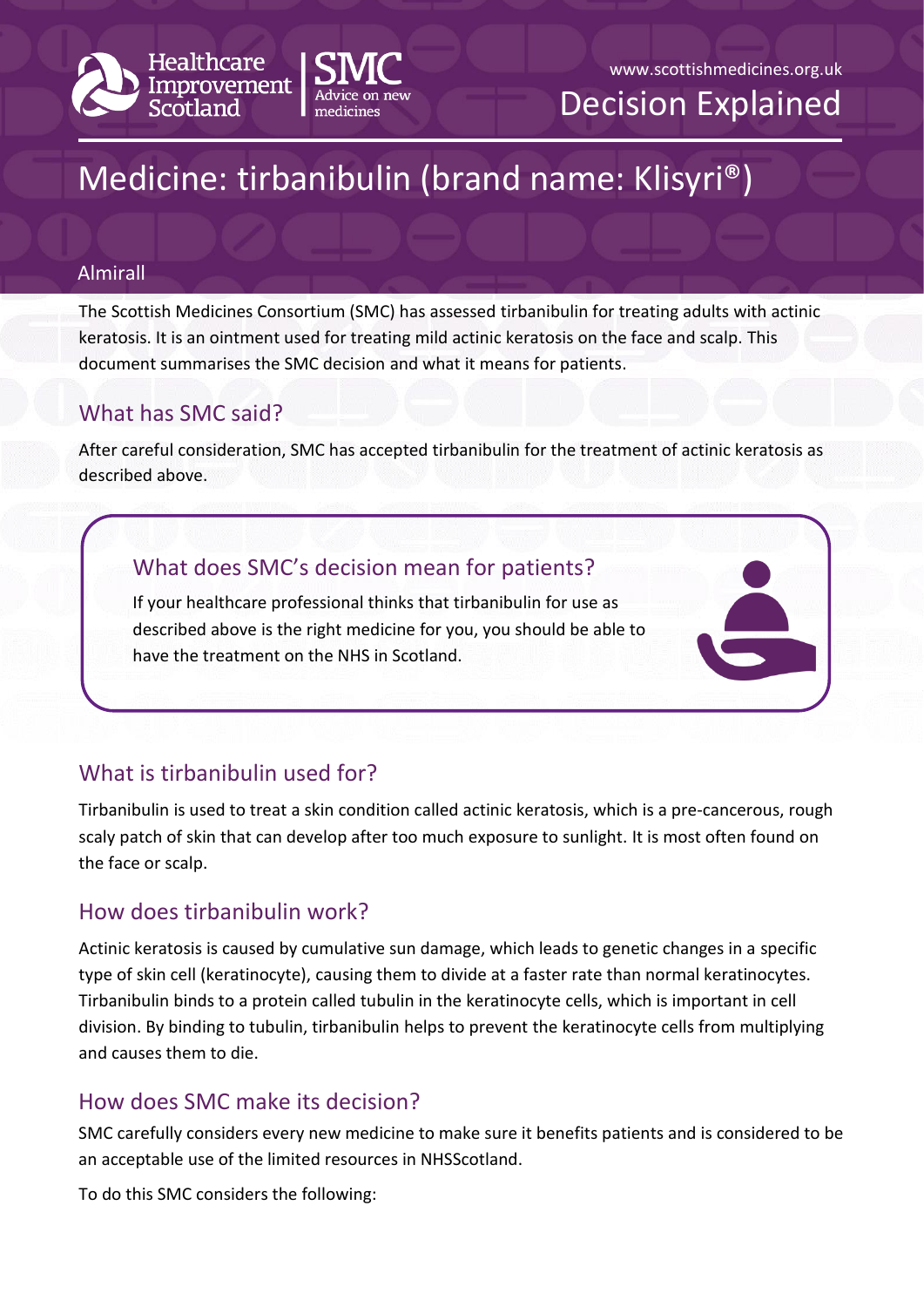

www.scottishmedicines.org.uk

Decision Explained

# Medicine: tirbanibulin (brand name: Klisyri®)

#### Almirall

The Scottish Medicines Consortium (SMC) has assessed tirbanibulin for treating adults with actinic keratosis. It is an ointment used for treating mild actinic keratosis on the face and scalp. This document summarises the SMC decision and what it means for patients.

## What has SMC said?

After careful consideration, SMC has accepted tirbanibulin for the treatment of actinic keratosis as described above.

## What does SMC's decision mean for patients?

If your healthcare professional thinks that tirbanibulin for use as described above is the right medicine for you, you should be able to have the treatment on the NHS in Scotland.

# What is tirbanibulin used for?

Tirbanibulin is used to treat a skin condition called actinic keratosis, which is a pre-cancerous, rough scaly patch of skin that can develop after too much exposure to sunlight. It is most often found on the face or scalp.

## How does tirbanibulin work?

Actinic keratosis is caused by cumulative sun damage, which leads to genetic changes in a specific type of skin cell (keratinocyte), causing them to divide at a faster rate than normal keratinocytes. Tirbanibulin binds to a protein called tubulin in the keratinocyte cells, which is important in cell division. By binding to tubulin, tirbanibulin helps to prevent the keratinocyte cells from multiplying and causes them to die.

## How does SMC make its decision?

SMC carefully considers every new medicine to make sure it benefits patients and is considered to be an acceptable use of the limited resources in NHSScotland.

To do this SMC considers the following: